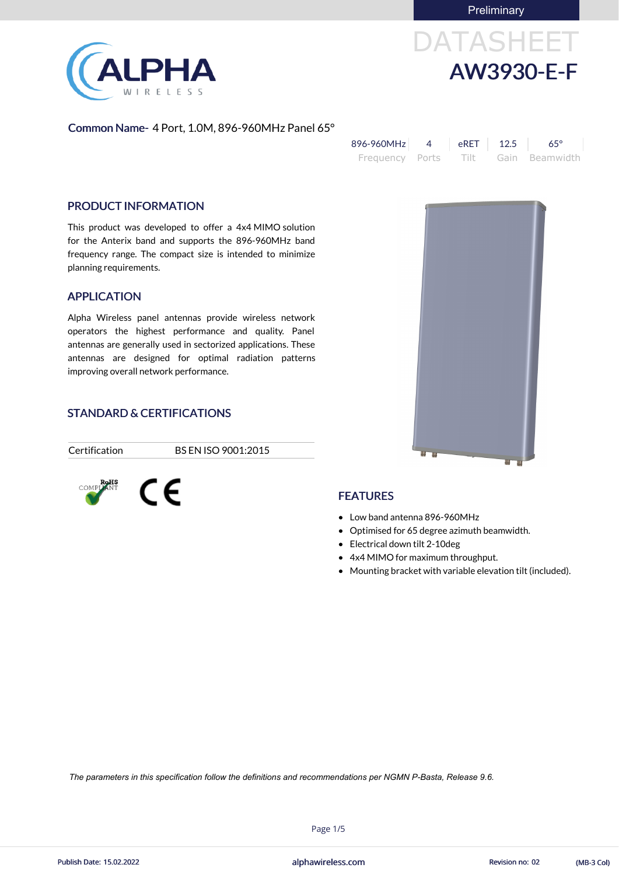**Preliminary** 

# DATASHEET AW3930-E-F

### Common Name- 4 Port, 1.0M, 896-960MHz Panel 65°

| 896-960MHz                          | $RET$ 12.5 | $65^\circ$ |
|-------------------------------------|------------|------------|
| Frequency Ports Tilt Gain Beamwidth |            |            |

### PRODUCT INFORMATION

This product was developed to offer a 4x4 MIMO solution for the Anterix band and supports the 896-960MHz band frequency range. The compact size is intended to minimize planning requirements.

### APPLICATION

Alpha Wireless panel antennas provide wireless network operators the highest performance and quality. Panel antennas are generally used in sectorized applications. These antennas are designed for optimal radiation patterns improving overall network performance.

### STANDARD & CERTIFICATIONS

Certification BS EN ISO 9001:2015

### FEATURES

- Low band antenna 896-960MHz
- Optimised for 65 degree azimuth beamwidth.
- Electrical down tilt 2-10deg
- 4x4 MIMO for maximum throughput.
- Mounting bracket with variable elevation tilt (included).







**COMPLANT** CE

Page 1/5



*The parameters in this specification follow the definitions and recommendations per NGMN P-Basta, Release 9.6.*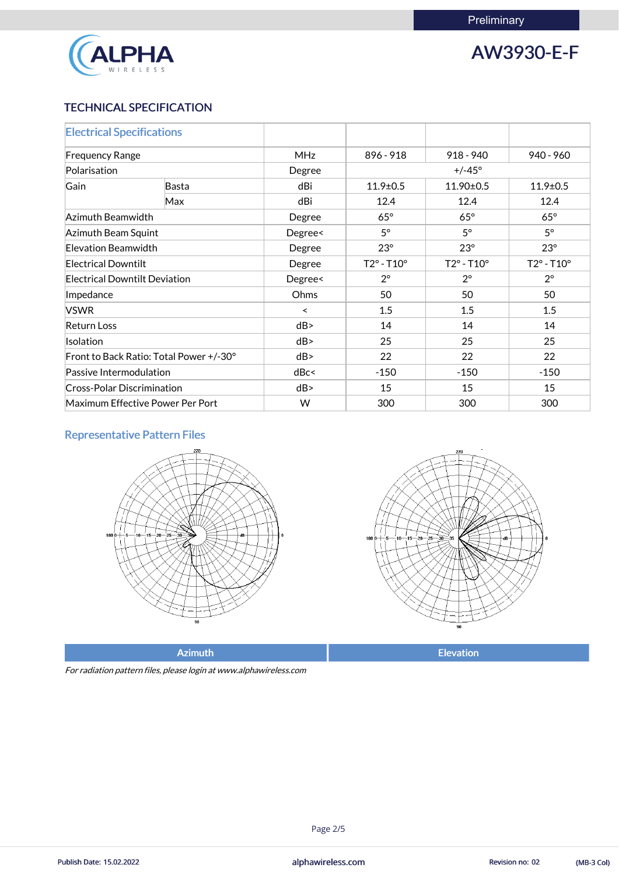

## AW3930-E-F

### TECHNICAL SPECIFICATION

| <b>Electrical Specifications</b>        |       |            |                            |                            |                            |  |
|-----------------------------------------|-------|------------|----------------------------|----------------------------|----------------------------|--|
| <b>Frequency Range</b>                  |       | <b>MHz</b> | 896 - 918                  | $918 - 940$                | $940 - 960$                |  |
| Polarisation                            |       | Degree     |                            | $+/-45^{\circ}$            |                            |  |
| Gain                                    | Basta | dBi        | $11.9 \pm 0.5$             | 11.90±0.5                  | $11.9 \pm 0.5$             |  |
|                                         | Max   | dBi        | 12.4                       | 12.4                       | 12.4                       |  |
| Azimuth Beamwidth                       |       | Degree     | $65^\circ$                 | $65^\circ$                 | $65^\circ$                 |  |
| Azimuth Beam Squint                     |       | Degree<    | $5^\circ$                  | $5^\circ$                  | $5^\circ$                  |  |
| Elevation Beamwidth                     |       | Degree     | $23^\circ$                 | $23^\circ$                 | $23^\circ$                 |  |
| <b>Electrical Downtilt</b>              |       | Degree     | $T2^{\circ} - T10^{\circ}$ | $T2^{\circ} - T10^{\circ}$ | $T2^{\circ} - T10^{\circ}$ |  |
| <b>Electrical Downtilt Deviation</b>    |       | Degree<    | $2^{\circ}$                | $2^{\circ}$                | $2^{\circ}$                |  |
| Impedance                               |       | Ohms       | 50                         | 50                         | 50                         |  |
| <b>VSWR</b>                             |       | $\prec$    | 1.5                        | 1.5                        | 1.5                        |  |
| <b>Return Loss</b>                      |       | dB         | 14                         | 14                         | 14                         |  |
| <b>Isolation</b>                        |       | dB         | 25                         | 25                         | 25                         |  |
| Front to Back Ratio: Total Power +/-30° |       | dB         | 22                         | 22                         | 22                         |  |
| Passive Intermodulation                 |       | dBc<       | $-150$                     | $-150$                     | $-150$                     |  |
| <b>Cross-Polar Discrimination</b>       |       | dB         | 15                         | 15                         | 15                         |  |
| Maximum Effective Power Per Port        |       | W          | 300                        | 300                        | 300                        |  |

### Representative Pattern Files





Azimuth **Elevation** 

For radiation pattern files, please login at www.alphawireless.com

Page 2/5

alphawireless.com Publish Date: 15.02.2022 Revision no: 02 (MB-3 Col)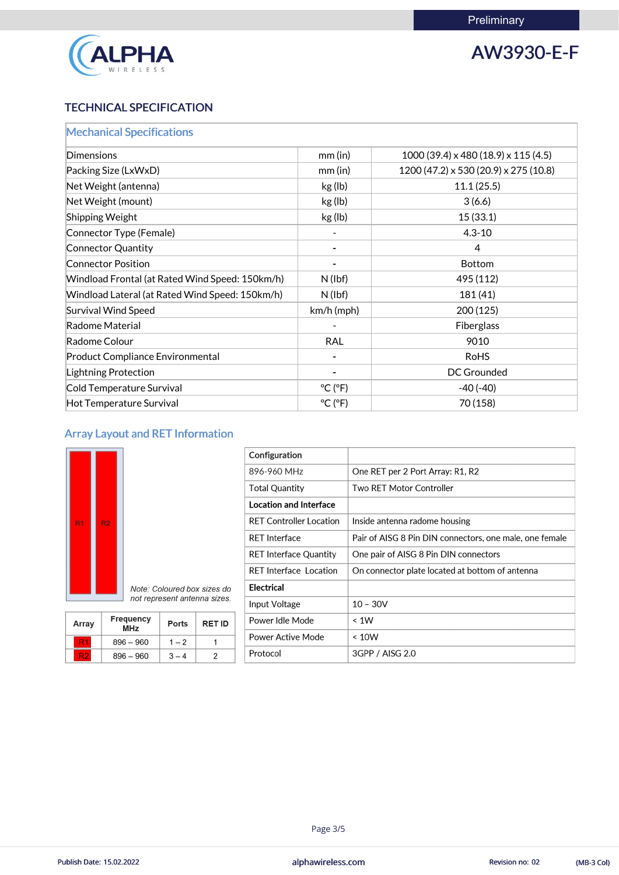

## AW3930-E-F

### TECHNICAL SPECIFICATION

| <b>Mechanical Specifications</b>                |                              |                                               |
|-------------------------------------------------|------------------------------|-----------------------------------------------|
| <b>Dimensions</b>                               | mm(in)                       | $1000(39.4) \times 480(18.9) \times 115(4.5)$ |
| Packing Size (LxWxD)                            | $mm$ (in)                    | 1200 (47.2) x 530 (20.9) x 275 (10.8)         |
| Net Weight (antenna)                            | kg (lb)                      | 11.1(25.5)                                    |
| Net Weight (mount)                              | kg (lb)                      | 3(6.6)                                        |
| Shipping Weight                                 | kg (lb)                      | 15(33.1)                                      |
| Connector Type (Female)                         |                              | $4.3 - 10$                                    |
| <b>Connector Quantity</b>                       |                              | 4                                             |
| <b>Connector Position</b>                       |                              | <b>Bottom</b>                                 |
| Windload Frontal (at Rated Wind Speed: 150km/h) | $N$ (lbf)                    | 495 (112)                                     |
| Windload Lateral (at Rated Wind Speed: 150km/h) | $N$ (lbf)                    | 181(41)                                       |
| <b>Survival Wind Speed</b>                      | $km/h$ (mph)                 | 200(125)                                      |
| Radome Material                                 |                              | Fiberglass                                    |
| Radome Colour                                   | <b>RAL</b>                   | 9010                                          |
| <b>Product Compliance Environmental</b>         |                              | <b>RoHS</b>                                   |
| Lightning Protection                            |                              | DC Grounded                                   |
| Cold Temperature Survival                       | $^{\circ}$ C ( $^{\circ}$ F) | $-40(-40)$                                    |
| Hot Temperature Survival                        | $^{\circ}$ C ( $^{\circ}$ F) | 70 (158)                                      |

### Array Layout and RET Information



| Configuration                  |                                                         |
|--------------------------------|---------------------------------------------------------|
| 896-960 MHz                    | One RET per 2 Port Array: R1, R2                        |
| <b>Total Quantity</b>          | <b>Two RET Motor Controller</b>                         |
| <b>Location and Interface</b>  |                                                         |
| <b>RET Controller Location</b> | Inside antenna radome housing                           |
| <b>RET Interface</b>           | Pair of AISG 8 Pin DIN connectors, one male, one female |
| <b>RET Interface Quantity</b>  | One pair of AISG 8 Pin DIN connectors                   |
| <b>RET Interface Location</b>  | On connector plate located at bottom of antenna         |
| <b>Electrical</b>              |                                                         |
| Input Voltage                  | $10 - 30V$                                              |
| Power Idle Mode                | $\leq 1W$                                               |
| <b>Power Active Mode</b>       | ~< 10W                                                  |
| Protocol                       | 3GPP / AISG 2.0                                         |

|                                |  | not represent antenna sizes. |               |
|--------------------------------|--|------------------------------|---------------|
| <b>Frequency</b><br><b>MHz</b> |  | <b>Ports</b>                 | <b>RET ID</b> |

|       |                                |              | $1.1$ pac rotanged |                    |
|-------|--------------------------------|--------------|--------------------|--------------------|
| Array | <b>Frequency</b><br><b>MHz</b> | <b>Ports</b> | <b>RET ID</b>      | Power Idle N       |
|       |                                |              |                    | <b>Power Activ</b> |
|       | $896 - 960$                    | $1 - 2$      |                    |                    |
| R2    | $896 - 960$                    | $3 - 4$      |                    | Protocol           |

### 

Page 3/5

alphawireless.com Publish Date: 15.02.2022 Revision no: 02 (MB-3 Col)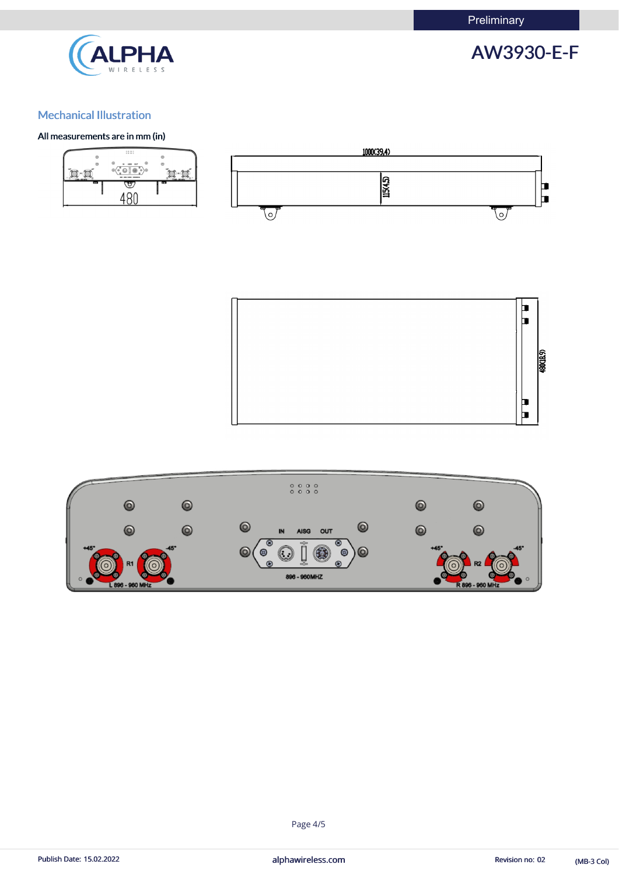**Preliminary** 



## AW3930-E-F

### Mechanical Illustration

### All measurements are in mm (in)







### Page 4/5